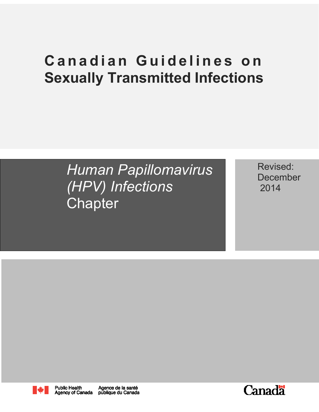# **Canadian Guidelines on Sexually Transmitted Infections**

*Human Papillomavirus (HPV) Infections* **Chapter** 

Revised: December 2014



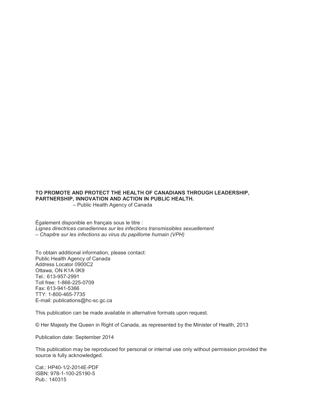#### **TO PROMOTE AND PROTECT THE HEALTH OF CANADIANS THROUGH LEADERSHIP, PARTNERSHIP, INNOVATION AND ACTION IN PUBLIC HEALTH.**

– Public Health Agency of Canada

Également disponible en français sous le titre : *Lignes directrices canadiennes sur les infections transmissibles sexuellement – Chapitre sur les infections au virus du papillome humain (VPH)*

To obtain additional information, please contact: Public Health Agency of Canada Address Locator 0900C2 Ottawa, ON K1A 0K9 Tel.: 613-957-2991 Toll free: 1-866-225-0709 Fax: 613-941-5366 TTY: 1-800-465-7735 E-mail: publications@hc-sc.gc.ca

This publication can be made available in alternative formats upon request.

© Her Majesty the Queen in Right of Canada, as represented by the Minister of Health, 2013

Publication date: September 2014

This publication may be reproduced for personal or internal use only without permission provided the source is fully acknowledged.

Cat.: HP40-1/2-2014E-PDF ISBN: 978-1-100-25190-5 Pub.: 140315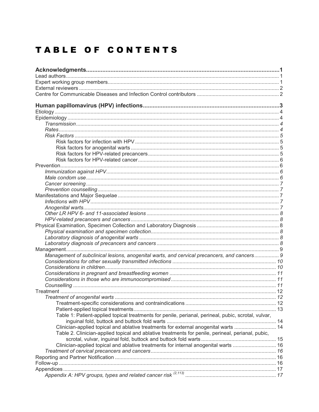## TABLE OF CONTENTS

| Management of subclinical lesions, anogenital warts, and cervical precancers, and cancers 9         |  |
|-----------------------------------------------------------------------------------------------------|--|
|                                                                                                     |  |
|                                                                                                     |  |
|                                                                                                     |  |
|                                                                                                     |  |
|                                                                                                     |  |
|                                                                                                     |  |
|                                                                                                     |  |
|                                                                                                     |  |
| Table 1: Patient-applied topical treatments for penile, perianal, perineal, pubic, scrotal, vulvar, |  |
|                                                                                                     |  |
| Clinician-applied topical and ablative treatments for external anogenital warts  14                 |  |
| Table 2. Clinician-applied topical and ablative treatments for penile, perineal, perianal, pubic,   |  |
|                                                                                                     |  |
| Clinician-applied topical and ablative treatments for internal anogenital warts  16                 |  |
|                                                                                                     |  |
|                                                                                                     |  |
|                                                                                                     |  |
|                                                                                                     |  |
|                                                                                                     |  |
|                                                                                                     |  |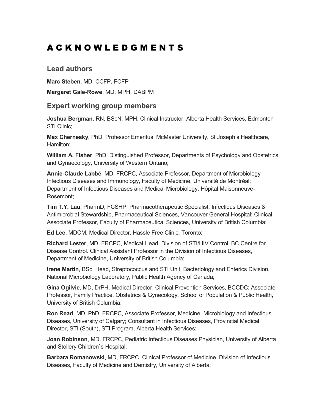## <span id="page-5-0"></span>A C K N O W L E D G M E N T S

### <span id="page-5-1"></span>**Lead authors**

**Marc Steben**, MD, CCFP, FCFP

**Margaret Gale-Rowe**, MD, MPH, DABPM

### <span id="page-5-2"></span>**Expert working group members**

**Joshua Bergman**, RN, BScN, MPH, Clinical Instructor, Alberta Health Services, Edmonton STI Clinic;

**Max Chernesky**, PhD, Professor Emeritus, McMaster University, St Joseph's Healthcare, Hamilton;

**William A. Fisher**, PhD, Distinguished Professor, Departments of Psychology and Obstetrics and Gynaecology, University of Western Ontario;

**Annie-Claude Labbé**, MD, FRCPC, Associate Professor, Department of Microbiology Infectious Diseases and Immunology, Faculty of Medicine, Université de Montréal; Department of Infectious Diseases and Medical Microbiology, Hôpital Maisonneuve-Rosemont;

**Tim T.Y. Lau**, PharmD, FCSHP, Pharmacotherapeutic Specialist, Infectious Diseases & Antimicrobial Stewardship, Pharmaceutical Sciences, Vancouver General Hospital; Clinical Associate Professor, Faculty of Pharmaceutical Sciences, University of British Columbia;

**Ed Lee**, MDCM, Medical Director, Hassle Free Clinic, Toronto;

**Richard Lester**, MD, FRCPC, Medical Head, Division of STI/HIV Control, BC Centre for Disease Control. Clinical Assistant Professor in the Division of Infectious Diseases, Department of Medicine, University of British Columbia;

**Irene Martin**, BSc, Head, Streptococcus and STI Unit, Bacteriology and Enterics Division, National Microbiology Laboratory, Public Health Agency of Canada;

**Gina Ogilvie**, MD, DrPH, Medical Director, Clinical Prevention Services, BCCDC; Associate Professor, Family Practice, Obstetrics & Gynecology, School of Population & Public Health, University of British Columbia;

**Ron Read**, MD, PhD, FRCPC, Associate Professor, Medicine, Microbiology and Infectious Diseases, University of Calgary; Consultant in Infectious Diseases, Provincial Medical Director, STI (South), STI Program, Alberta Health Services;

**Joan Robinson**, MD, FRCPC, Pediatric Infectious Diseases Physician, University of Alberta and Stollery Children`s Hospital;

**Barbara Romanowski**, MD, FRCPC, Clinical Professor of Medicine, Division of Infectious Diseases, Faculty of Medicine and Dentistry, University of Alberta;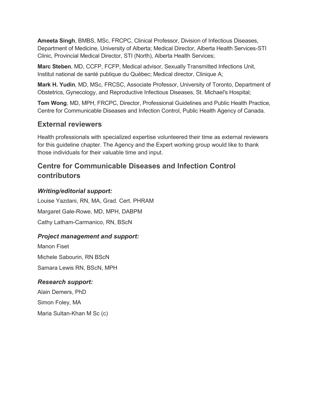**Ameeta Singh**, BMBS, MSc, FRCPC, Clinical Professor, Division of Infectious Diseases, Department of Medicine, University of Alberta; Medical Director, Alberta Health Services-STI Clinic, Provincial Medical Director, STI (North), Alberta Health Services;

**Marc Steben**, MD, CCFP, FCFP, Medical advisor, Sexually Transmitted Infections Unit, Institut national de santé publique du Québec; Medical director, Clinique A;

**Mark H. Yudin**, MD, MSc, FRCSC, Associate Professor, University of Toronto, Department of Obstetrics, Gynecology, and Reproductive Infectious Diseases, St. Michael's Hospital;

**Tom Wong**, MD, MPH, FRCPC, Director, Professional Guidelines and Public Health Practice, Centre for Communicable Diseases and Infection Control, Public Health Agency of Canada.

## <span id="page-6-0"></span>**External reviewers**

Health professionals with specialized expertise volunteered their time as external reviewers for this guideline chapter. The Agency and the Expert working group would like to thank those individuals for their valuable time and input.

## <span id="page-6-1"></span>**Centre for Communicable Diseases and Infection Control contributors**

### *Writing/editorial support:*

Louise Yazdani, RN, MA, Grad. Cert. PHRAM Margaret Gale-Rowe, MD, MPH, DABPM Cathy Latham-Carmanico, RN, BScN

#### *Project management and support:*

Manon Fiset Michele Sabourin, RN BScN Samara Lewis RN, BScN, MPH

#### *Research support:*

Alain Demers, PhD Simon Foley, MA Maria Sultan-Khan M Sc (c)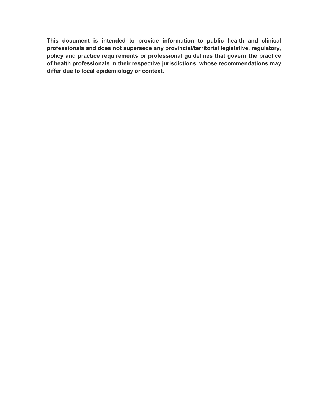**This document is intended to provide information to public health and clinical professionals and does not supersede any provincial/territorial legislative, regulatory, policy and practice requirements or professional guidelines that govern the practice of health professionals in their respective jurisdictions, whose recommendations may differ due to local epidemiology or context.**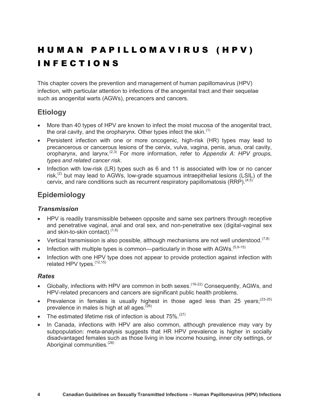## H U M A N P A P I L L O M A V I R U S ( H P V ) I N F E C T I O N S

This chapter covers the prevention and management of human papillomavirus (HPV) infection, with particular attention to infections of the anogenital tract and their sequelae such as anogenital warts (AGWs), precancers and cancers.

## <span id="page-8-0"></span>**Etiology**

- More than 40 types of HPV are known to infect the moist mucosa of the anogenital tract, the oral cavity, and the oropharynx. Other types infect the skin. $(1)$
- Persistent infection with one or more oncogenic, high-risk (HR) types may lead to precancerous or cancerous lesions of the cervix, vulva, vagina, penis, anus, oral cavity, oropharynx, and larynx.(2,3) For more information, refer to *Appendix A: HPV groups, types and related cancer risk*.
- Infection with low-risk (LR) types such as 6 and 11 is associated with low or no cancer risk.<sup>(2)</sup> but may lead to AGWs, low-grade squamous intraepithelial lesions (LSIL) of the cervix, and rare conditions such as recurrent respiratory papillomatosis (RRP).  $(4,5)$

## <span id="page-8-1"></span>**Epidemiology**

#### <span id="page-8-2"></span>*Transmission*

- HPV is readily transmissible between opposite and same sex partners through receptive and penetrative vaginal, anal and oral sex, and non-penetrative sex (digital-vaginal sex and skin-to-skin contact). $(1,6)$
- Vertical transmission is also possible, although mechanisms are not well understood.<sup> $(7,8)$ </sup>
- Infection with multiple types is common—particularly in those with AGWs.  $(5,9-15)$
- Infection with one HPV type does not appear to provide protection against infection with related HPV types.<sup>(12,15)</sup>

#### <span id="page-8-3"></span>*Rates*

- Globally, infections with HPV are common in both sexes.<sup>(16-22)</sup> Consequently, AGWs, and HPV-related precancers and cancers are significant public health problems.
- Prevalence in females is usually highest in those aged less than 25 years; $(23-25)$ prevalence in males is high at all ages. $(26)$
- The estimated lifetime risk of infection is about  $75\%$ .<sup>(27)</sup>
- In Canada, infections with HPV are also common, although prevalence may vary by subpopulation: meta-analysis suggests that HR HPV prevalence is higher in socially disadvantaged females such as those living in low income housing, inner city settings, or Aboriginal communities.<sup>(28)</sup>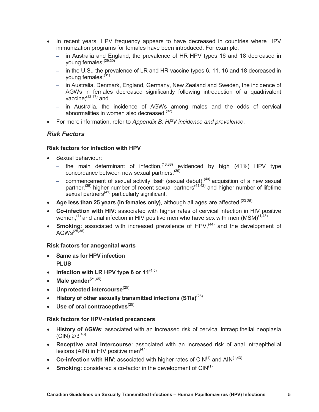- In recent years, HPV frequency appears to have decreased in countries where HPV immunization programs for females have been introduced. For example,
	- in Australia and England, the prevalence of HR HPV types 16 and 18 decreased in young females;<sup>(29,30)</sub></sup>
	- in the U.S., the prevalence of LR and HR vaccine types 6, 11, 16 and 18 decreased in young females: (31)
	- in Australia, Denmark, England, Germany, New Zealand and Sweden, the incidence of AGWs in females decreased significantly following introduction of a quadrivalent vaccine $\cdot$ <sup>(32-37)</sup> and
	- in Australia, the incidence of AGWs among males and the odds of cervical abnormalities in women also decreased. $(32)$
- For more information, refer to *Appendix B: HPV incidence and prevalence*.

#### <span id="page-9-0"></span>*Risk Factors*

#### <span id="page-9-1"></span>**Risk factors for infection with HPV**

- Sexual behaviour:
	- the main determinant of infection,<sup> $(13,38)$ </sup> evidenced by high (41%) HPV type concordance between new sexual partners;<sup>(39)</sup>
	- commencement of sexual activity itself (sexual debut),<sup>(40)</sup> acquisition of a new sexual partner,<sup>(39)</sup> higher number of recent sexual partners<sup>(41,42)</sup> and higher number of lifetime sexual partners<sup>(41)</sup> particularly significant.
- Age less than 25 years (in females only), although all ages are affected.<sup>(23-25)</sup>
- **Co-infection with HIV**: associated with higher rates of cervical infection in HIV positive women,<sup>(1)</sup> and anal infection in HIV positive men who have sex with men (MSM)<sup> $(1,43)$ </sup>
- **Smoking**: associated with increased prevalence of HPV,<sup>(44)</sup> and the development of  $AGWs<sup>(25,38)</sup>$

#### <span id="page-9-2"></span>**Risk factors for anogenital warts**

- **Same as for HPV infection PLUS**
- **Infection with LR HPV type 6 or 11**<sup> $(4,5)$ </sup>
- Male gender<sup>(21,45)</sup>
- **•** Unprotected intercourse<sup>(25)</sup>
- History of other sexually transmitted infections (STIs)<sup>(25)</sup>
- **•** Use of oral contraceptives<sup>(25)</sup>

#### <span id="page-9-3"></span>**Risk factors for HPV-related precancers**

- **History of AGWs**: associated with an increased risk of cervical intraepithelial neoplasia  $(CIN)$   $2/3^{(46)}$
- **Receptive anal intercourse**: associated with an increased risk of anal intraepithelial lesions (AIN) in HIV positive men<sup> $(47)$ </sup>
- Co-infection with HIV: associated with higher rates of  $CIN^{(1)}$  and  $AlN^{(1,43)}$
- **Smoking**: considered a co-factor in the development of CIN<sup>(1)</sup>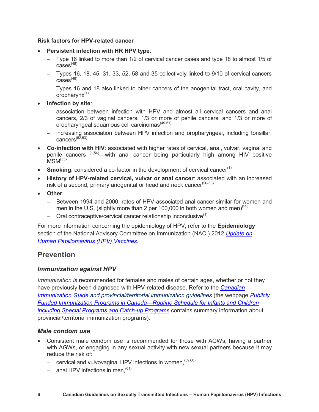#### <span id="page-10-0"></span>**Risk factors for HPV-related cancer**

- **Persistent infection with HR HPV type**:
	- Type 16 linked to more than 1/2 of cervical cancer cases and type 18 to almost 1/5 of  $cases^{(48)}$
	- Types 16, 18, 45, 31, 33, 52, 58 and 35 collectively linked to 9/10 of cervical cancers  $cases<sup>(48)</sup>$
	- Types 16 and 18 also linked to other cancers of the anogenital tract, oral cavity, and oropharyn $x^{(1)}$
- **Infection by site**:
	- association between infection with HPV and almost all cervical cancers and anal cancers, 2/3 of vaginal cancers, 1/3 or more of penile cancers, and 1/3 or more of oropharyngeal squamous cell carcinomas<sup>(49-51)</sup>
	- increasing association between HPV infection and oropharyngeal, including tonsillar, cancers<sup> $(5\bar{2},53)$ </sup>
- **Co-infection with HIV**: associated with higher rates of cervical, anal, vulvar, vaginal and penile cancers <sup>(1,54)</sup>—with anal cancer being particularly high among HIV positive  $MSM<sup>(55)</sup>$
- **Smoking**: considered a co-factor in the development of cervical cancer<sup>(1)</sup>
- **History of HPV-related cervical, vulvar or anal cancer**: associated with an increased risk of a second, primary anogenital or head and neck cancer<sup>(56-58)</sup>
- **Other**:
	- Between 1994 and 2000, rates of HPV-associated anal cancer similar for women and men in the U.S. (slightly more than 2 per 100,000 in both women and men)<sup> $(55)$ </sup>
	- $-$  Oral contraceptive/cervical cancer relationship inconclusive<sup>(1)</sup>

For more information concerning the epidemiology of HPV, refer to the **Epidemiology** section of the National Advisory Committee on Immunization (NACI) 2012 *[Update on](http://www.phac-aspc.gc.ca/publicat/ccdr-rmtc/12vol38/acs-dcc-1/index-eng.php#a3)  [Human Papillomavirus \(HPV\) Vaccines](http://www.phac-aspc.gc.ca/publicat/ccdr-rmtc/12vol38/acs-dcc-1/index-eng.php#a3)*.

## <span id="page-10-1"></span>**Prevention**

#### <span id="page-10-2"></span>*Immunization against HPV*

*Immunization is* recommended for females and males of certain ages, whether or not they have previously been diagnosed with HPV-related disease. Refer to the *[Canadian](http://www.phac-aspc.gc.ca/publicat/cig-gci/index-eng.php)  [Immunization Guide](http://www.phac-aspc.gc.ca/publicat/cig-gci/index-eng.php) and provincial/territorial immunization guidelines (the webpage Publicly [Funded Immunization Programs in Canada](http://www.phac-aspc.gc.ca/im/ptimprog-progimpt/table-1-eng.php)—Routine Schedule for Infants and Children including [Special Programs and Catch-up Programs](http://www.phac-aspc.gc.ca/im/ptimprog-progimpt/table-1-eng.php)* contains summary information about provincial/territorial immunization programs).

#### <span id="page-10-3"></span>*Male condom use*

- Consistent male condom use is recommended for those with AGWs, having a partner with AGWs, or engaging in any sexual activity with new sexual partners because it may reduce the risk of:
	- $-$  cervical and vulvovaginal HPV infections in women,  $(59,60)$
	- $-$  anal HPV infections in men.<sup>(61)</sup>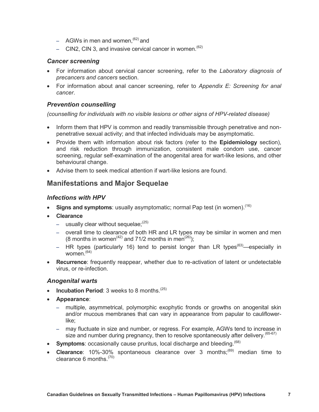- $-$  AGWs in men and women,  $^{(62)}$  and
- CIN2, CIN 3, and invasive cervical cancer in women.  $(62)$

#### <span id="page-11-0"></span>*Cancer screening*

- For information about cervical cancer screening, refer to the *Laboratory diagnosis of precancers and cancers* section.
- For information about anal cancer screening, refer to *Appendix E: Screening for anal cancer*.

#### <span id="page-11-1"></span>*Prevention counselling*

*(counselling for individuals with no visible lesions or other signs of HPV-related disease)*

- Inform them that HPV is common and readily transmissible through penetrative and nonpenetrative sexual activity; and that infected individuals may be asymptomatic.
- Provide them with information about risk factors (refer to the **Epidemiology** section), and risk reduction through immunization, consistent male condom use, cancer screening, regular self-examination of the anogenital area for wart-like lesions, and other behavioural change.
- Advise them to seek medical attention if wart-like lesions are found.

### <span id="page-11-2"></span>**Manifestations and Major Sequelae**

#### <span id="page-11-3"></span>*Infections with HPV*

- Signs and symptoms: usually asymptomatic; normal Pap test (in women).<sup>(16)</sup>
- **Clearance**
	- usually clear without sequelae:  $(25)$
	- overall time to clearance of both HR and LR types may be similar in women and men (8 months in women<sup>(42)</sup> and 71/2 months in men<sup>(26)</sup>);
	- HR types (particularly 16) tend to persist longer than LR types<sup>(63)</sup>—especially in women $(64)$
- **Recurrence**: frequently reappear, whether due to re-activation of latent or undetectable virus, or re-infection.

#### <span id="page-11-4"></span>*Anogenital warts*

- **Incubation Period**: 3 weeks to 8 months.<sup>(25)</sup>
- **Appearance**:
	- multiple, asymmetrical, polymorphic exophytic fronds or growths on anogenital skin and/or mucous membranes that can vary in appearance from papular to cauliflowerlike;
	- may fluctuate in size and number, or regress. For example, AGWs tend to increase in size and number during pregnancy, then to resolve spontaneously after delivery. (65-67)
- **Symptoms**: occasionally cause pruritus, local discharge and bleeding.<sup>(68)</sup>
- **Clearance**: 10%-30% spontaneous clearance over 3 months;<sup>(69)</sup> median time to clearance 6 months. $(70)$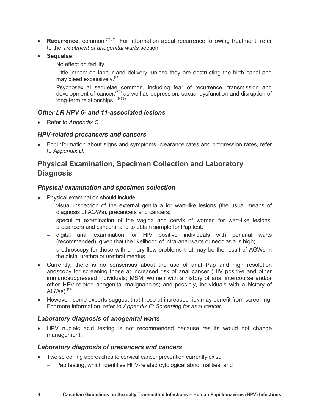- **Recurrence**: common.(25,71) For information about recurrence following treatment, refer to the *Treatment of anogenital warts* section.
- **Sequelae**:
	- No effect on fertility.
	- Little impact on labour and delivery, unless they are obstructing the birth canal and may bleed excessively.<sup>(65)</sup>
	- Psychosexual sequelae common, including fear of recurrence, transmission and development of cancer;(72) as well as depression, sexual dysfunction and disruption of long-term relationships.<sup>(19,73)</sup>

#### <span id="page-12-0"></span>*Other LR HPV 6- and 11-associated lesions*

Refer to *Appendix C*.

#### <span id="page-12-1"></span>*HPV-related precancers and cancers*

 For information about signs and symptoms, clearance rates and progression rates, refer to *Appendix D*.

## <span id="page-12-2"></span>**Physical Examination, Specimen Collection and Laboratory Diagnosis**

#### <span id="page-12-3"></span>*Physical examination and specimen collection*

- Physical examination should include:
	- visual inspection of the external genitalia for wart-like lesions (the usual means of diagnosis of AGWs), precancers and cancers;
	- speculum examination of the vagina and cervix of women for wart-like lesions, precancers and cancers; and to obtain sample for Pap test;
	- digital anal examination for HIV positive individuals with perianal warts (recommended), given that the likelihood of intra-anal warts or neoplasia is high;
	- urethroscopy for those with urinary flow problems that may be the result of AGWs in the distal urethra or urethral meatus.
- Currently, there is no consensus about the use of anal Pap and high resolution anoscopy for screening those at increased risk of anal cancer (HIV positive and other immunosuppressed individuals; MSM; women with a history of anal intercourse and/or other HPV-related anogenital malignancies; and possibly, individuals with a history of  $AGWs)$ .  $(55)$
- However, some experts suggest that those at increased risk may benefit from screening. For more information, refer to *Appendix E: Screening for anal cancer*.

#### <span id="page-12-4"></span>*Laboratory diagnosis of anogenital warts*

 HPV nucleic acid testing is not recommended because results would not change management.

#### <span id="page-12-5"></span>*Laboratory diagnosis of precancers and cancers*

- Two screening approaches to cervical cancer prevention currently exist:
	- Pap testing, which identifies HPV-related cytological abnormalities; and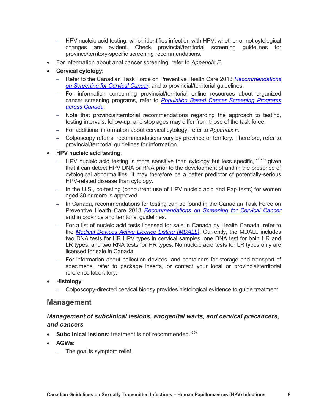- HPV nucleic acid testing, which identifies infection with HPV, whether or not cytological changes are evident. Check provincial/territorial screening guidelines for province/territory-specific screening recommendations.
- For information about anal cancer screening, refer to *Appendix E*.
- **Cervical cytology**:
	- Refer to the Canadian Task Force on Preventive Health Care 2013 *[Recommendations](http://canadiantaskforce.ca/ctfphc-guidelines/2013-cervical-cancer/)  [on Screening for Cervical Cancer](http://canadiantaskforce.ca/ctfphc-guidelines/2013-cervical-cancer/)*; and to provincial/territorial guidelines.
	- For information concerning provincial/territorial online resources about organized cancer screening programs, refer to *[Population Based Cancer Screening Programs](http://www.cancerview.ca/cv/portal/Home/PreventionAndScreening/PSPatientsAndFamilies/ScreeningAndEarlyDiagnosis/ScreeningProgramsAcrossCanada?_afrLoop=316608574745000&lang=en&_afrWindowMode=0&_adf.ctrl-state=1dbmsqm4aj_90)  [across Canada](http://www.cancerview.ca/cv/portal/Home/PreventionAndScreening/PSPatientsAndFamilies/ScreeningAndEarlyDiagnosis/ScreeningProgramsAcrossCanada?_afrLoop=316608574745000&lang=en&_afrWindowMode=0&_adf.ctrl-state=1dbmsqm4aj_90)*.
	- Note that provincial/territorial recommendations regarding the approach to testing, testing intervals, follow-up, and stop ages may differ from those of the task force.
	- For additional information about cervical cytology, refer to *Appendix F.*
	- Colposcopy referral recommendations vary by province or territory. Therefore, refer to provincial/territorial guidelines for information.

#### **HPV nucleic acid testing**:

- HPV nucleic acid testing is more sensitive than cytology but less specific,  $(74,75)$  given that it can detect HPV DNA or RNA prior to the development of and in the presence of cytological abnormalities. It may therefore be a better predictor of potentially-serious HPV-related disease than cytology.
- In the U.S., co-testing (concurrent use of HPV nucleic acid and Pap tests) for women aged 30 or more is approved.
- In Canada, recommendations for testing can be found in the Canadian Task Force on Preventive Health Care 2013 *[Recommendations on Screening for Cervical Cancer](http://canadiantaskforce.ca/ctfphc-guidelines/2013-cervical-cancer/)* and in province and territorial guidelines.
- For a list of nucleic acid tests licensed for sale in Canada by Health Canada, refer to the *[Medical Devices Active Licence Listing \(MDALL\)](http://www.hc-sc.gc.ca/dhp-mps/md-im/licen/mdlic-eng.php)*. Currently, the MDALL includes two DNA tests for HR HPV types in cervical samples, one DNA test for both HR and LR types, and two RNA tests for HR types. No nucleic acid tests for LR types only are licensed for sale in Canada.
- For information about collection devices, and containers for storage and transport of specimens, refer to package inserts, or contact your local or provincial/territorial reference laboratory.
- **Histology**:
	- Colposcopy-directed cervical biopsy provides histological evidence to guide treatment.

#### <span id="page-13-0"></span>**Management**

#### <span id="page-13-1"></span>*Management of subclinical lesions, anogenital warts, and cervical precancers, and cancers*

- **Subclinical lesions**: treatment is not recommended.<sup>(65)</sup>
- **AGWs**:
	- The goal is symptom relief.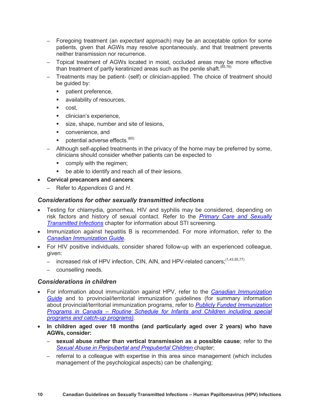- Foregoing treatment (an *expectant* approach) may be an acceptable option for some patients, given that AGWs may resolve spontaneously, and that treatment prevents neither transmission nor recurrence.
- Topical treatment of AGWs located in moist, occluded areas may be more effective than treatment of partly keratinized areas such as the penile shaft.  $(65,76)$
- Treatments may be patient- (self) or clinician-applied. The choice of treatment should be guided by:
	- patient preference,
	- **a** availability of resources,
	- cost.
	- **EXPLOSED EXPERIENCE,**
	- size, shape, number and site of lesions,
	- convenience, and
	- potential adverse effects.  $(65)$
- Although self-applied treatments in the privacy of the home may be preferred by some, clinicians should consider whether patients can be expected to
	- **•** comply with the regimen;
	- be able to identify and reach all of their lesions.
- **Cervical precancers and cancers**:
	- Refer to *Appendices G* and *H*.

#### <span id="page-14-0"></span>*Considerations for other sexually transmitted infections*

- Testing for chlamydia, gonorrhea, HIV and syphilis may be considered, depending on risk factors and history of sexual contact. Refer to the *[Primary Care and Sexually](http://www.phac-aspc.gc.ca/std-mts/sti-its/cgsti-ldcits/section-2-eng.php)  [Transmitted Infections](http://www.phac-aspc.gc.ca/std-mts/sti-its/cgsti-ldcits/section-2-eng.php)* chapter for information about STI screening.
- Immunization against hepatitis B is recommended. For more information, refer to the *[Canadian Immunization Guide](http://www.phac-aspc.gc.ca/publicat/cig-gci/p04-hepb-eng.php)*.
- For HIV positive individuals, consider shared follow-up with an experienced colleague, given:
	- increased risk of HPV infection, CIN, AIN, and HPV-related cancers:<sup>(1,43,55,77)</sup>
	- counselling needs.

#### <span id="page-14-1"></span>*Considerations in children*

- For information about immunization against HPV, refer to the *[Canadian Immunization](http://www.phac-aspc.gc.ca/publicat/cig-gci/index-eng.php)  [Guide](http://www.phac-aspc.gc.ca/publicat/cig-gci/index-eng.php)* and to provincial/territorial immunization guidelines (for summary information about provincial/territorial immunization programs, refer to *[Publicly Funded Immunization](http://www.phac-aspc.gc.ca/im/ptimprog-progimpt/table-1-eng.php)  Programs in Canada – [Routine Schedule for Infants and Children including special](http://www.phac-aspc.gc.ca/im/ptimprog-progimpt/table-1-eng.php)  [programs and catch-up programs\)](http://www.phac-aspc.gc.ca/im/ptimprog-progimpt/table-1-eng.php).*
- **In children aged over 18 months (and particularly aged over 2 years) who have AGWs, consider:**
	- **sexual abuse rather than vertical transmission as a possible cause**; refer to the *[Sexual Abuse in Peripubertal and Prepubertal Children](http://www.phac-aspc.gc.ca/std-mts/sti-its/cgsti-ldcits/section-6-5-eng.php)* chapter;
	- referral to a colleague with expertise in this area since management (which includes management of the psychological aspects) can be challenging;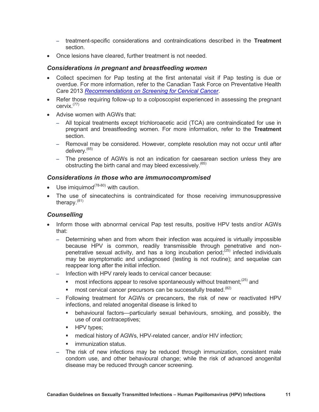- treatment-specific considerations and contraindications described in the **Treatment**  section.
- Once lesions have cleared, further treatment is not needed.

#### <span id="page-15-0"></span>*Considerations in pregnant and breastfeeding women*

- Collect specimen for Pap testing at the first antenatal visit if Pap testing is due or overdue. For more information, refer to the Canadian Task Force on Preventative Health Care 2013 *[Recommendations on Screening for Cervical Cancer](http://canadiantaskforce.ca/ctfphc-guidelines/2013-cervical-cancer/)*.
- Refer those requiring follow-up to a colposcopist experienced in assessing the pregnant cervix.(77)
- Advise women with AGWs that:
	- All topical treatments except trichloroacetic acid (TCA) are contraindicated for use in pregnant and breastfeeding women. For more information, refer to the **Treatment** section.
	- Removal may be considered. However, complete resolution may not occur until after delivery.(65)
	- The presence of AGWs is not an indication for caesarean section unless they are obstructing the birth canal and may bleed excessively.<sup>(65)</sup>

#### <span id="page-15-1"></span>*Considerations in those who are immunocompromised*

- $\bullet$  Use imiguimod<sup>(78-80)</sup> with caution.
- The use of sinecatechins is contraindicated for those receiving immunosuppressive therapy. $(81)$

#### <span id="page-15-2"></span>*Counselling*

- Inform those with abnormal cervical Pap test results, positive HPV tests and/or AGWs that:
	- Determining when and from whom their infection was acquired is virtually impossible because HPV is common, readily transmissible through penetrative and nonpenetrative sexual activity, and has a long incubation period; $^{(25)}$  infected individuals may be asymptomatic and undiagnosed (testing is not routine); and sequelae can reappear long after the initial infection.
	- Infection with HPV rarely leads to cervical cancer because:
		- most infections appear to resolve spontaneously without treatment;  $(25)$  and
		- most cervical cancer precursors can be successfully treated.<sup>(82)</sup>
	- Following treatment for AGWs or precancers, the risk of new or reactivated HPV infections, and related anogenital disease is linked to
		- behavioural factors—particularly sexual behaviours, smoking, and possibly, the use of oral contraceptives;
		- **HPV** types;
		- **EXECT** medical history of AGWs, HPV-related cancer, and/or HIV infection;
		- immunization status.
	- The risk of new infections may be reduced through immunization, consistent male condom use, and other behavioural change; while the risk of advanced anogenital disease may be reduced through cancer screening.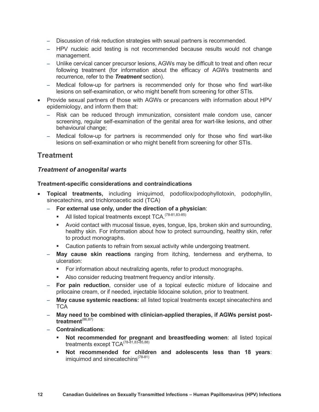- Discussion of risk reduction strategies with sexual partners is recommended.
- HPV nucleic acid testing is not recommended because results would not change management.
- Unlike cervical cancer precursor lesions, AGWs may be difficult to treat and often recur following treatment (for information about the efficacy of AGWs treatments and recurrence, refer to the *Treatment* section).
- Medical follow-up for partners is recommended only for those who find wart-like lesions on self-examination, or who might benefit from screening for other STIs.
- Provide sexual partners of those with AGWs or precancers with information about HPV epidemiology, and inform them that:
	- Risk can be reduced through immunization, consistent male condom use, cancer screening, regular self-examination of the genital area for wart-like lesions, and other behavioural change;
	- Medical follow-up for partners is recommended only for those who find wart-like lesions on self-examination or who might benefit from screening for other STIs.

## <span id="page-16-0"></span>**Treatment**

#### <span id="page-16-1"></span>*Treatment of anogenital warts*

#### <span id="page-16-2"></span>**Treatment-specific considerations and contraindications**

- **Topical treatments,** including imiquimod, podofilox/podophyllotoxin, podophyllin, sinecatechins, and trichloroacetic acid (TCA)
	- **For external use only, under the direction of a physician**:
		- $\blacksquare$  All listed topical treatments except TCA.<sup>(78-81,83-85)</sup>
		- Avoid contact with mucosal tissue, eyes, tongue, lips, broken skin and surrounding, healthy skin. For information about how to protect surrounding, healthy skin, refer to product monographs.
		- Caution patients to refrain from sexual activity while undergoing treatment.
	- **May cause skin reactions** ranging from itching, tenderness and erythema, to ulceration:
		- For information about neutralizing agents, refer to product monographs.
		- Also consider reducing treatment frequency and/or intensity.
	- **For pain reduction**, consider use of a topical eutectic mixture of lidocaine and prilocaine cream, or if needed, injectable lidocaine solution, prior to treatment.
	- **May cause systemic reactions:** all listed topical treatments except sinecatechins and **TCA**
	- **May need to be combined with clinician-applied therapies, if AGWs persist posttreatment**(86,87)
	- **Contraindications**:
		- **Not recommended for pregnant and breastfeeding women**: all listed topical treatments except TCA<sup>(78-81,83-85,88)</sup>
		- **Not recommended for children and adolescents less than 18 years**: imiquimod and sinecatechins<sup>(78-81)</sup>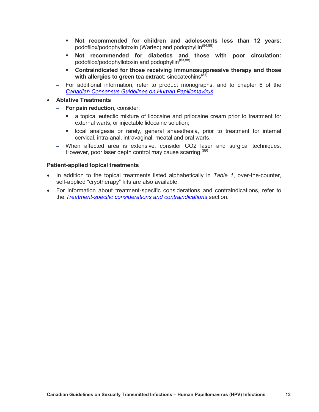- **Not recommended for children and adolescents less than 12 years**: podofilox/podophyllotoxin (Wartec) and podophyllin<sup>(84,88)</sup>
- **Not recommended for diabetics and those with poor circulation:**  podofilox/podophyllotoxin and podophyllin<sup>(83,88)</sup>
- **Contraindicated for those receiving immunosuppressive therapy and those**  with allergies to green tea extract: sinecatechins<sup>(81)</sup>
- For additional information, refer to product monographs, and to chapter 6 of the *[Canadian Consensus Guidelines on Human Papillomavirus](http://sogc.org/guidelines/canadian-consensus-guidelines-on-human-papillomavirus/)*.
- **Ablative Treatments**
	- **For pain reduction**, consider:
		- a topical eutectic mixture of lidocaine and prilocaine cream prior to treatment for external warts, or injectable lidocaine solution;
		- local analgesia or rarely, general anaesthesia, prior to treatment for internal cervical, intra-anal, intravaginal, meatal and oral warts.
	- When affected area is extensive, consider CO2 laser and surgical techniques. However, poor laser depth control may cause scarring.<sup>(89)</sup>

#### <span id="page-17-0"></span>**Patient-applied topical treatments**

- In addition to the topical treatments listed alphabetically in *Table 1*, over-the-counter, self-applied "cryotherapy" kits are also available.
- For information about treatment-specific considerations and contraindications, refer to the *Treatment-specific considerations and contraindications* section.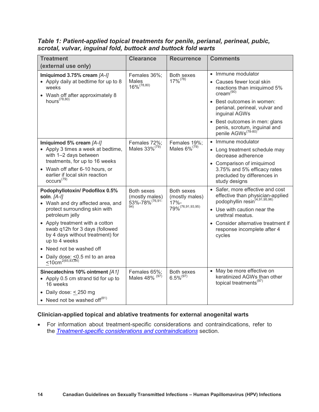| <b>Treatment</b>                                                                                                                                                                                                                                                                                                                                                        | <b>Clearance</b>                                        | <b>Recurrence</b>                                            | <b>Comments</b>                                                                                                                                                                                                                                                                         |
|-------------------------------------------------------------------------------------------------------------------------------------------------------------------------------------------------------------------------------------------------------------------------------------------------------------------------------------------------------------------------|---------------------------------------------------------|--------------------------------------------------------------|-----------------------------------------------------------------------------------------------------------------------------------------------------------------------------------------------------------------------------------------------------------------------------------------|
| (external use only)                                                                                                                                                                                                                                                                                                                                                     |                                                         |                                                              |                                                                                                                                                                                                                                                                                         |
| Imiquimod 3.75% cream [A-I]<br>• Apply daily at bedtime for up to 8<br>weeks<br>• Wash off after approximately 8<br>hours $(78,80)$                                                                                                                                                                                                                                     | Females 36%;<br>Males<br>$16\%^{(78,80)}$               | Both sexes<br>$17\%^{(78)}$                                  | • Immune modulator<br>• Causes fewer local skin<br>reactions than imiquimod 5%<br>$c$ ream $^{(90)}$<br>• Best outcomes in women:<br>perianal, perineal, vulvar and<br>inguinal AGWs<br>• Best outcomes in men: glans<br>penis, scrotum, inguinal and<br>penile AGWs <sup>(78-80)</sup> |
| Imiquimod 5% cream [A-I]<br>• Apply 3 times a week at bedtime,<br>with 1-2 days between<br>treatments, for up to 16 weeks<br>• Wash off after 6-10 hours, or<br>earlier if local skin reaction<br>occurs <sup>(79)</sup>                                                                                                                                                | Females 72%;<br>Males 33% <sup>(79)</sup>               | Females 19%;<br>Males $6\%^{(79)}$                           | • Immune modulator<br>• Long treatment schedule may<br>decrease adherence<br>• Comparison of imiquimod<br>3.75% and 5% efficacy rates<br>precluded by differences in<br>study designs                                                                                                   |
| Podophyllotoxin/ Podofilox 0.5%<br>soln. [A-I]<br>• Wash and dry affected area, and<br>protect surrounding skin with<br>petroleum jelly<br>• Apply treatment with a cotton<br>swab q12h for 3 days (followed<br>by 4 days without treatment) for<br>up to 4 weeks<br>• Need not be washed off<br>Daily dose: < 0.5 ml to an area<br>$\leq 10$ cm <sup>2(65,83,84)</sup> | Both sexes<br>(mostly males)<br>53%-78% (76,914)<br>94) | Both sexes<br>(mostly males)<br>$17% -$<br>79% (76,91,93,95) | • Safer, more effective and cost<br>effective than physician-applied<br>podophyllin resin <sup>(4,91,95,96)</sup><br>• Use with caution near the<br>urethral meatus.<br>• Consider alternative treatment if<br>response incomplete after 4<br>cycles                                    |
| Sinecatechins 10% ointment [A1]<br>• Apply 0.5 cm strand tid for up to<br>16 weeks<br>• Daily dose: $\leq$ 250 mg<br>• Need not be washed of $f(81)$                                                                                                                                                                                                                    | Females 65%;<br>Males 48% (97)                          | Both sexes<br>$6.5\%^{(97)}$                                 | • May be more effective on<br>keratinized AGWs than other<br>topical treatments <sup>(97)</sup>                                                                                                                                                                                         |

<span id="page-18-0"></span>*Table 1: Patient-applied topical treatments for penile, perianal, perineal, pubic, scrotal, vulvar, inguinal fold, buttock and buttock fold warts*

#### <span id="page-18-1"></span>**Clinician-applied topical and ablative treatments for external anogenital warts**

 For information about treatment-specific considerations and contraindications, refer to the *Treatment-specific considerations and contraindications* section.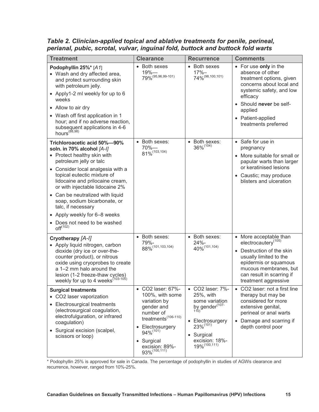| <b>Treatment</b>                                                                                                                                                                                                                                                                                                                                                                                                                                 | <b>Clearance</b>                                                                                                                                                                                                     | <b>Recurrence</b>                                                                                                                                                                        | <b>Comments</b>                                                                                                                                                                                                              |
|--------------------------------------------------------------------------------------------------------------------------------------------------------------------------------------------------------------------------------------------------------------------------------------------------------------------------------------------------------------------------------------------------------------------------------------------------|----------------------------------------------------------------------------------------------------------------------------------------------------------------------------------------------------------------------|------------------------------------------------------------------------------------------------------------------------------------------------------------------------------------------|------------------------------------------------------------------------------------------------------------------------------------------------------------------------------------------------------------------------------|
| Podophyllin 25%* [A1]<br>• Wash and dry affected area,<br>and protect surrounding skin<br>with petroleum jelly.<br>• Apply1-2 ml weekly for up to 6<br>weeks<br>• Allow to air dry<br>• Wash off first application in 1<br>hour; and if no adverse reaction,<br>subsequent applications in 4-6<br>$hours^{(88,98)}$                                                                                                                              | • Both sexes<br>$19% -$<br>79% (95,96,99-101)                                                                                                                                                                        | <b>Both sexes</b><br>$\bullet$<br>$17% -$<br>74% (98, 100, 101)                                                                                                                          | • For use only in the<br>absence of other<br>treatment options, given<br>concerns about local and<br>systemic safety, and low<br>efficacy<br>• Should never be self-<br>applied<br>• Patient-applied<br>treatments preferred |
| Trichloroacetic acid 50%-90%<br>soln. in 70% alcohol [A-I]<br>• Protect healthy skin with<br>petroleum jelly or talc<br>• Consider local analgesia with a<br>topical eutectic mixture of<br>lidocaine and prilocaine cream,<br>or with injectable lidocaine 2%<br>• Can be neutralized with liquid<br>soap, sodium bicarbonate, or<br>talc, if necessary<br>• Apply weekly for 6-8 weeks<br>• Does not need to be washed<br>off <sup>(102)</sup> | Both sexes:<br>$70%$ —<br>81% (103,104)                                                                                                                                                                              | Both sexes:<br>$\bullet$<br>36% (104)                                                                                                                                                    | • Safe for use in<br>pregnancy<br>• More suitable for small or<br>papular warts than larger<br>or keratinised lesions<br>• Caustic; may produce<br>blisters and ulceration                                                   |
| Cryotherapy [A-I]<br>• Apply liquid nitrogen, carbon<br>dioxide (dry ice or over-the-<br>counter product), or nitrous<br>oxide using cryoprobes to create<br>a 1-2 mm halo around the<br>lesion (1-2 freeze-thaw cycles)<br>weekly for up to 4 weeks $(103-105)$                                                                                                                                                                                 | • Both sexes:<br>79%-<br>88% <sup>(101,103,104)</sup>                                                                                                                                                                | Both sexes:<br>$\bullet$<br>$24% -$<br>40% (101, 104)                                                                                                                                    | • More acceptable than<br>electrocautery <sup>(105)</sup><br>• Destruction of the skin<br>usually limited to the<br>epidermis or squamous<br>mucous membranes, but<br>can result in scarring if<br>treatment aggressive      |
| <b>Surgical treatments</b><br>• CO2 laser vaporization<br>• Electrosurgical treatments<br>(electrosurgical coagulation,<br>electrofulguration, or infrared<br>coagulation)<br>• Surgical excision (scalpel,<br>scissors or loop)                                                                                                                                                                                                                 | • CO2 laser: 67%-<br>100%, with some<br>variation by<br>gender and<br>number of<br>treatments $^{(106-110)}$<br>Electrosurgery<br>$\bullet$<br>94% (101)<br>Surgical<br>$\bullet$<br>excision: 89%-<br>93% (100,111) | • CO2 laser: 7%-<br>25%, with<br>some variation<br>by gender $(107 - 110)$<br>Electrosurgery<br>$\bullet$<br>$23\%^{(101)}$<br>Surgical<br>$\bullet$<br>excision: 18%-<br>19% (100, 111) | • CO2 laser: not a first line<br>therapy but may be<br>considered for more<br>extensive genital,<br>perineal or anal warts<br>Damage and scarring if<br>depth control poor                                                   |

<span id="page-19-0"></span>*Table 2. Clinician-applied topical and ablative treatments for penile, perineal, perianal, pubic, scrotal, vulvar, inguinal fold, buttock and buttock fold warts*

\* Podophyllin 25% is approved for sale in Canada. The percentage of podophyllin in studies of AGWs clearance and recurrence, however, ranged from 10%-25%.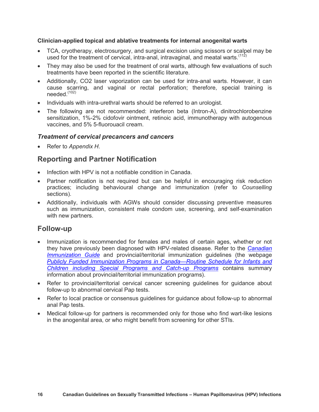#### <span id="page-20-0"></span>**Clinician-applied topical and ablative treatments for internal anogenital warts**

- TCA, cryotherapy, electrosurgery, and surgical excision using scissors or scalpel may be used for the treatment of cervical, intra-anal, intravaginal, and meatal warts.<sup> $(112)$ </sup>
- They may also be used for the treatment of oral warts, although few evaluations of such treatments have been reported in the scientific literature.
- Additionally, CO2 laser vaporization can be used for intra-anal warts. However, it can cause scarring, and vaginal or rectal perforation; therefore, special training is needed.(102)
- Individuals with intra-urethral warts should be referred to an urologist.
- The following are not recommended: interferon beta (Intron-A), dinitrochlorobenzine sensitization, 1%-2% cidofovir ointment, retinoic acid, immunotherapy with autogenous vaccines, and 5% 5-fluorouacil cream.

#### <span id="page-20-1"></span>*Treatment of cervical precancers and cancers*

Refer to *Appendix H*.

## <span id="page-20-2"></span>**Reporting and Partner Notification**

- Infection with HPV is not a notifiable condition in Canada.
- Partner notification is not required but can be helpful in encouraging risk reduction practices; including behavioural change and immunization (refer to *Counselling* sections).
- Additionally, individuals with AGWs should consider discussing preventive measures such as immunization, consistent male condom use, screening, and self-examination with new partners.

#### <span id="page-20-3"></span>**Follow-up**

- Immunization is recommended for females and males of certain ages, whether or not they have previously been diagnosed with HPV-related disease. Refer to the *[Canadian](http://www.phac-aspc.gc.ca/publicat/cig-gci/index-eng.php)  [Immunization Guide](http://www.phac-aspc.gc.ca/publicat/cig-gci/index-eng.php)* and provincial/territorial immunization guidelines (the webpage *[Publicly Funded Immunization Programs in Canada](http://www.phac-aspc.gc.ca/im/ptimprog-progimpt/table-1-eng.php)—Routine Schedule for Infants and [Children including Special Programs and Catch-up Programs](http://www.phac-aspc.gc.ca/im/ptimprog-progimpt/table-1-eng.php)* contains summary information about provincial/territorial immunization programs).
- Refer to provincial/territorial cervical cancer screening guidelines for guidance about follow-up to abnormal cervical Pap tests.
- Refer to local practice or consensus guidelines for guidance about follow-up to abnormal anal Pap tests.
- Medical follow-up for partners is recommended only for those who find wart-like lesions in the anogenital area, or who might benefit from screening for other STIs.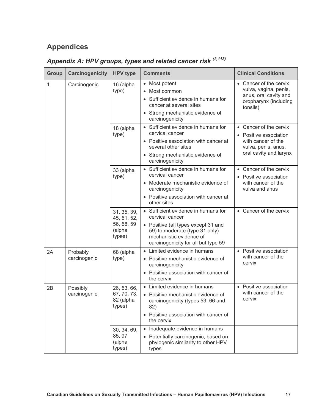## <span id="page-21-0"></span>**Appendices**

## <span id="page-21-1"></span>*Appendix A: HPV groups, types and related cancer risk (2,113)*

| <b>Group</b> | Carcinogenicity          | <b>HPV type</b>                                              | <b>Comments</b>                                                                                                                                                                                   | <b>Clinical Conditions</b>                                                                                              |
|--------------|--------------------------|--------------------------------------------------------------|---------------------------------------------------------------------------------------------------------------------------------------------------------------------------------------------------|-------------------------------------------------------------------------------------------------------------------------|
| 1            | Carcinogenic             | 16 (alpha<br>type)                                           | Most potent<br>Most common<br>$\bullet$<br>Sufficient evidence in humans for<br>cancer at several sites<br>• Strong mechanistic evidence of<br>carcinogenicity                                    | • Cancer of the cervix<br>vulva, vagina, penis,<br>anus, oral cavity and<br>oropharynx (including<br>tonsils)           |
|              |                          | 18 (alpha<br>type)                                           | Sufficient evidence in humans for<br>cervical cancer<br>• Positive association with cancer at<br>several other sites<br>• Strong mechanistic evidence of<br>carcinogenicity                       | • Cancer of the cervix<br>• Positive association<br>with cancer of the<br>vulva, penis, anus,<br>oral cavity and larynx |
|              |                          | 33 (alpha<br>type)                                           | • Sufficient evidence in humans for<br>cervical cancer<br>• Moderate mechanistic evidence of<br>carcinogenicity<br>Positive association with cancer at<br>$\bullet$<br>other sites                | • Cancer of the cervix<br>Positive association<br>with cancer of the<br>vulva and anus                                  |
|              |                          | 31, 35, 39,<br>45, 51, 52,<br>56, 58, 59<br>(alpha<br>types) | • Sufficient evidence in humans for<br>cervical cancer<br>• Positive (all types except 31 and<br>59) to moderate (type 31 only)<br>mechanistic evidence of<br>carcinogenicity for all but type 59 | • Cancer of the cervix                                                                                                  |
| 2A           | Probably<br>carcinogenic | 68 (alpha<br>type)                                           | • Limited evidence in humans<br>• Positive mechanistic evidence of<br>carcinogenicity<br>• Positive association with cancer of<br>the cervix                                                      | • Positive association<br>with cancer of the<br>cervix                                                                  |
| 2B           | Possibly<br>carcinogenic | 26, 53, 66,<br>67, 70, 73,<br>82 (alpha<br>types)            | • Limited evidence in humans<br>• Positive mechanistic evidence of<br>carcinogenicity (types 53, 66 and<br>82)<br>Positive association with cancer of<br>the cervix                               | • Positive association<br>with cancer of the<br>cervix                                                                  |
|              |                          | 30, 34, 69,<br>85, 97<br>(alpha<br>types)                    | Inadequate evidence in humans<br>$\bullet$<br>• Potentially carcinogenic, based on<br>phylogenic similarity to other HPV<br>types                                                                 |                                                                                                                         |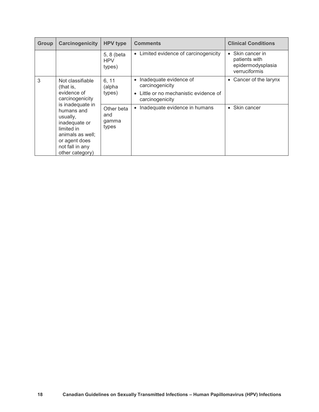| <b>Group</b>                                                                                                                                                                                                                 | Carcinogenicity           | <b>HPV type</b>                                         | <b>Comments</b>                       | <b>Clinical Conditions</b>                                                         |
|------------------------------------------------------------------------------------------------------------------------------------------------------------------------------------------------------------------------------|---------------------------|---------------------------------------------------------|---------------------------------------|------------------------------------------------------------------------------------|
|                                                                                                                                                                                                                              |                           | 5, 8 (beta<br><b>HPV</b><br>types)                      | • Limited evidence of carcinogenicity | Skin cancer in<br>$\bullet$<br>patients with<br>epidermodysplasia<br>verruciformis |
| 3<br>Not classifiable<br>(that is,<br>evidence of<br>carcinogenicity<br>is inadequate in<br>humans and<br>usually,<br>inadequate or<br>limited in<br>animals as well;<br>or agent does<br>not fall in any<br>other category) | 6, 11<br>(alpha<br>types) | Inadequate evidence of<br>carcinogenicity               | • Cancer of the larynx                |                                                                                    |
|                                                                                                                                                                                                                              |                           | Little or no mechanistic evidence of<br>carcinogenicity |                                       |                                                                                    |
|                                                                                                                                                                                                                              |                           | Other beta<br>and<br>gamma<br>types                     | Inadequate evidence in humans         | Skin cancer<br>$\bullet$                                                           |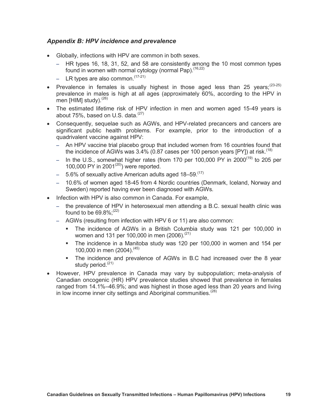#### <span id="page-23-0"></span>*Appendix B: HPV incidence and prevalence*

- Globally, infections with HPV are common in both sexes.
	- HR types 16, 18, 31, 52, and 58 are consistently among the 10 most common types found in women with normal cytology (normal Pap).<sup>(16,22)</sup>
	- LR types are also common.  $(17-21)$
- Prevalence in females is usually highest in those aged less than 25 years;<sup>(23-25)</sup> prevalence in males is high at all ages (approximately 60%, according to the HPV in men [HIM] study). $(26)$
- The estimated lifetime risk of HPV infection in men and women aged 15-49 years is about  $75\%$ , based on U.S. data. $(27)$
- Consequently, sequelae such as AGWs, and HPV-related precancers and cancers are significant public health problems. For example, prior to the introduction of a quadrivalent vaccine against HPV:
	- An HPV vaccine trial placebo group that included women from 16 countries found that the incidence of AGWs was  $3.4\%$  (0.87 cases per 100 person years [PY]) at risk.<sup>(18)</sup>
	- In the U.S., somewhat higher rates (from 170 per 100,000 PY in 2000(19) to 205 per 100,000 PY in 2001 $(20)$ ) were reported.
	- $-$  5.6% of sexually active American adults aged 18-59.<sup>(17)</sup>
	- 10.6% of women aged 18-45 from 4 Nordic countries (Denmark, Iceland, Norway and Sweden) reported having ever been diagnosed with AGWs.
- Infection with HPV is also common in Canada. For example,
	- the prevalence of HPV in heterosexual men attending a B.C. sexual health clinic was found to be  $69.8\%$ ; (22)
	- AGWs (resulting from infection with HPV 6 or 11) are also common:
		- The incidence of AGWs in a British Columbia study was 121 per 100,000 in women and 131 per 100,000 in men (2006).<sup>(21)</sup>
		- The incidence in a Manitoba study was 120 per 100,000 in women and 154 per 100,000 in men (2004).<sup>(45)</sup>
		- The incidence and prevalence of AGWs in B.C had increased over the 8 year study period.<sup>(21)</sup>
- However, HPV prevalence in Canada may vary by subpopulation; meta-analysis of Canadian oncogenic (HR) HPV prevalence studies showed that prevalence in females ranged from 14.1%–46.9%; and was highest in those aged less than 20 years and living in low income inner city settings and Aboriginal communities.<sup> $(28)$ </sup>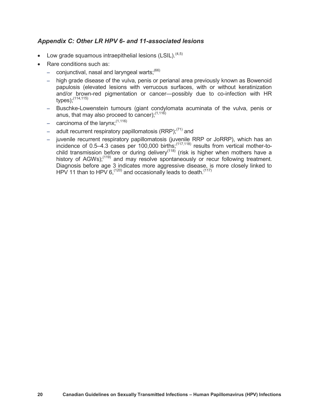#### <span id="page-24-0"></span>*Appendix C: Other LR HPV 6- and 11-associated lesions*

- Low grade squamous intraepithelial lesions (LSIL).  $(4,5)$
- Rare conditions such as:
	- conjunctival, nasal and laryngeal warts; $^{(66)}$
	- high grade disease of the vulva, penis or perianal area previously known as Bowenoid papulosis (elevated lesions with verrucous surfaces, with or without keratinization and/or brown-red pigmentation or cancer—possibly due to co-infection with HR types);(114,115)
	- Buschke-Lowenstein tumours (giant condylomata acuminata of the vulva, penis or anus, that may also proceed to cancer); $(1,116)$
	- $-$  carcinoma of the larynx;  $(1,116)$
	- $-$  adult recurrent respiratory papillomatosis (RRP);<sup>(71)</sup> and
	- juvenile recurrent respiratory papillomatosis (juvenile RRP or JoRRP), which has an incidence of  $0.5-4.3$  cases per 100,000 births;<sup> $(117,118)$ </sup> results from vertical mother-tochild transmission before or during delivery<sup> $(118)$ </sup> (risk is higher when mothers have a history of AGWs);<sup>(119)</sup> and may resolve spontaneously or recur following treatment. Diagnosis before age 3 indicates more aggressive disease, is more closely linked to HPV 11 than to HPV  $6<sub>1</sub><sup>(120)</sup>$  and occasionally leads to death.<sup> $(117)$ </sup>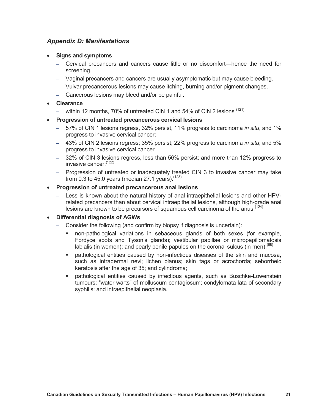#### <span id="page-25-0"></span>*Appendix D: Manifestations*

- **Signs and symptoms**
	- Cervical precancers and cancers cause little or no discomfort—hence the need for screening.
	- Vaginal precancers and cancers are usually asymptomatic but may cause bleeding.
	- Vulvar precancerous lesions may cause itching, burning and/or pigment changes.
	- Cancerous lesions may bleed and/or be painful.

#### **Clearance**

- within 12 months, 70% of untreated CIN 1 and 54% of CIN 2 lesions (121)
- **Progression of untreated precancerous cervical lesions**
	- 57% of CIN 1 lesions regress, 32% persist, 11% progress to carcinoma *in situ*, and 1% progress to invasive cervical cancer;
	- 43% of CIN 2 lesions regress; 35% persist; 22% progress to carcinoma *in situ*; and 5% progress to invasive cervical cancer.
	- 32% of CIN 3 lesions regress, less than 56% persist; and more than 12% progress to invasive cancer: $(122)$
	- Progression of untreated or inadequately treated CIN 3 to invasive cancer may take from 0.3 to 45.0 years (median 27.1 years).  $(123)$

#### **Progression of untreated precancerous anal lesions**

– Less is known about the natural history of anal intraepithelial lesions and other HPVrelated precancers than about cervical intraepithelial lesions, although high-grade anal lesions are known to be precursors of squamous cell carcinoma of the anus.<sup> $(124)$ </sup>

#### **Differential diagnosis of AGWs**

- Consider the following (and confirm by biopsy if diagnosis is uncertain):
	- non-pathological variations in sebaceous glands of both sexes (for example, Fordyce spots and Tyson's glands); vestibular papillae or micropapillomatosis labialis (in women); and pearly penile papules on the coronal sulcus (in men);  $^{(68)}$
	- pathological entities caused by non-infectious diseases of the skin and mucosa, such as intradermal nevi; lichen planus; skin tags or acrochorda; seborrheic keratosis after the age of 35; and cylindroma;
	- pathological entities caused by infectious agents, such as Buschke-Lowenstein tumours; "water warts" of molluscum contagiosum; condylomata lata of secondary syphilis; and intraepithelial neoplasia.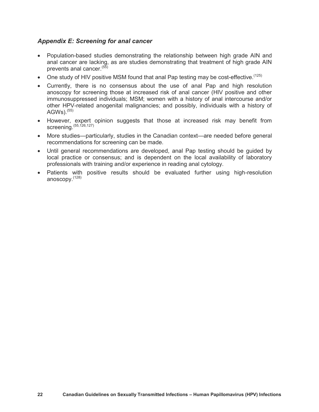#### <span id="page-26-0"></span>*Appendix E: Screening for anal cancer*

- Population-based studies demonstrating the relationship between high grade AIN and anal cancer are lacking, as are studies demonstrating that treatment of high grade AIN prevents anal cancer.<sup>(55)</sup>
- One study of HIV positive MSM found that anal Pap testing may be cost-effective.  $(125)$
- Currently, there is no consensus about the use of anal Pap and high resolution anoscopy for screening those at increased risk of anal cancer (HIV positive and other immunosuppressed individuals; MSM; women with a history of anal intercourse and/or other HPV-related anogenital malignancies; and possibly, individuals with a history of AGWs). $(55)$
- However, expert opinion suggests that those at increased risk may benefit from screening.(55,126,127)
- More studies—particularly, studies in the Canadian context—are needed before general recommendations for screening can be made.
- Until general recommendations are developed, anal Pap testing should be guided by local practice or consensus; and is dependent on the local availability of laboratory professionals with training and/or experience in reading anal cytology.
- Patients with positive results should be evaluated further using high-resolution anoscopy.(128)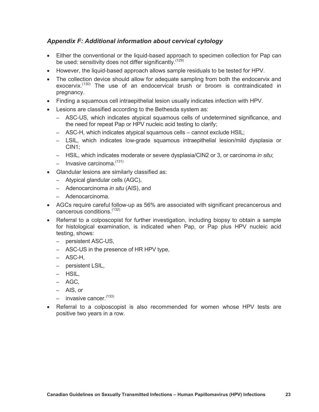#### <span id="page-27-0"></span>*Appendix F: Additional information about cervical cytology*

- Either the conventional or the liquid-based approach to specimen collection for Pap can be used: sensitivity does not differ significantly.<sup>(129)</sup>
- However, the liquid-based approach allows sample residuals to be tested for HPV.
- The collection device should allow for adequate sampling from both the endocervix and exocervix.<sup>(130)</sup> The use of an endocervical brush or broom is contraindicated in pregnancy.
- Finding a squamous cell intraepithelial lesion usually indicates infection with HPV.
- Lesions are classified according to the Bethesda system as:
	- ASC-US, which indicates atypical squamous cells of undetermined significance, and the need for repeat Pap or HPV nucleic acid testing to clarify;
	- ASC-H, which indicates atypical squamous cells cannot exclude HSIL;
	- LSIL, which indicates low-grade squamous intraepithelial lesion/mild dysplasia or CIN1;
	- HSIL, which indicates moderate or severe dysplasia/CIN2 or 3, or carcinoma *in situ*;
	- $-$  Invasive carcinoma.<sup>(131)</sup>
- Glandular lesions are similarly classified as:
	- Atypical glandular cells (AGC),
	- Adenocarcinoma *in situ* (AIS), and
	- Adenocarcinoma.
- AGCs require careful follow-up as 56% are associated with significant precancerous and cancerous conditions.(132)
- Referral to a colposcopist for further investigation, including biopsy to obtain a sample for histological examination, is indicated when Pap, or Pap plus HPV nucleic acid testing, shows:
	- persistent ASC-US,
	- ASC-US in the presence of HR HPV type,
	- ASC-H,
	- persistent LSIL,
	- HSIL,
	- AGC,
	- AIS, or
	- $-$  invasive cancer.  $(133)$
- Referral to a colposcopist is also recommended for women whose HPV tests are positive two years in a row.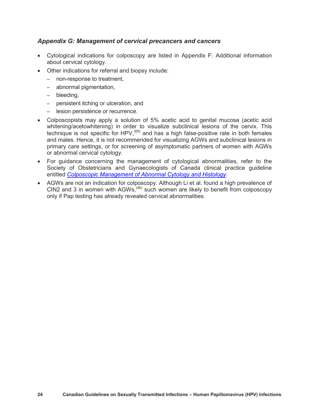#### <span id="page-28-0"></span>*Appendix G: Management of cervical precancers and cancers*

- Cytological indications for colposcopy are listed in Appendix F: Additional information about cervical cytology.
- Other indications for referral and biopsy include:
	- non-response to treatment,
	- abnormal pigmentation,
	- bleeding,
	- persistent itching or ulceration, and
	- lesion persistence or recurrence.
- Colposcopists may apply a solution of 5% acetic acid to genital mucosa (acetic acid whitening/acetowhitening) in order to visualize subclinical lesions of the cervix. This technique is not specific for HPV,<sup> $(65)$ </sup> and has a high false-positive rate in both females and males. Hence, it is not recommended for visualizing AGWs and subclinical lesions in primary care settings, or for screening of asymptomatic partners of women with AGWs or abnormal cervical cytology.
- For guidance concerning the management of cytological abnormalities, refer to the Society of Obstetricians and Gynaecologists of Canada clinical practice guideline entitled *[Colposcopic Management of Abnormal Cytology and Histology](http://sogc.org/guidelines/colposcopic-management-of-abnormal-cervical-cytology-and-histology/)*.
- AGWs are not an indication for colposcopy. Although Li et al. found a high prevalence of CIN2 and 3 in women with AGWs,  $46$  such women are likely to benefit from colposcopy only if Pap testing has already revealed cervical abnormalities.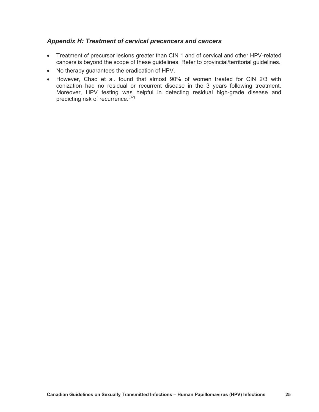#### <span id="page-29-0"></span>*Appendix H: Treatment of cervical precancers and cancers*

- Treatment of precursor lesions greater than CIN 1 and of cervical and other HPV-related cancers is beyond the scope of these guidelines. Refer to provincial/territorial guidelines.
- No therapy guarantees the eradication of HPV.
- However, Chao et al. found that almost 90% of women treated for CIN 2/3 with conization had no residual or recurrent disease in the 3 years following treatment. Moreover, HPV testing was helpful in detecting residual high-grade disease and predicting risk of recurrence.(82)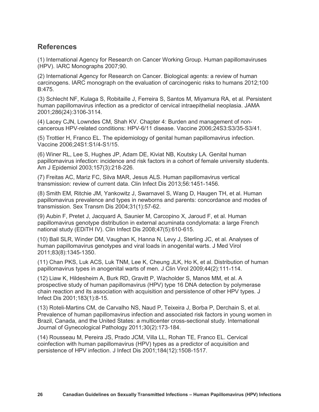## <span id="page-30-0"></span>**References**

(1) International Agency for Research on Cancer Working Group. Human papillomaviruses (HPV). IARC Monographs 2007;90.

(2) International Agency for Research on Cancer. Biological agents: a review of human carcinogens. IARC monograph on the evaluation of carcinogenic risks to humans 2012;100 B:475.

(3) Schlecht NF, Kulaga S, Robitaille J, Ferreira S, Santos M, Miyamura RA, et al. Persistent human papillomavirus infection as a predictor of cervical intraepithelial neoplasia. JAMA 2001;286(24):3106-3114.

(4) Lacey CJN, Lowndes CM, Shah KV. Chapter 4: Burden and management of noncancerous HPV-related conditions: HPV-6/11 disease. Vaccine 2006;24S3:S3/35-S3/41.

(5) Trottier H, Franco EL. The epidemiology of genital human papillomavirus infection. Vaccine 2006;24S1:S1/4-S1/15.

(6) Winer RL, Lee S, Hughes JP, Adam DE, Kiviat NB, Koutsky LA. Genital human papillomavirus infection: incidence and risk factors in a cohort of female university students. Am J Epidemiol 2003;157(3):218-226.

(7) Freitas AC, Mariz FC, Silva MAR, Jesus ALS. Human papillomavirus vertical transmission: review of current data. Clin Infect Dis 2013;56:1451-1456.

(8) Smith EM, Ritchie JM, Yankowitz J, Swarnavel S, Wang D, Haugen TH, et al. Human papillomavirus prevalence and types in newborns and parents: concordance and modes of transmission. Sex Transm Dis 2004;31(1):57-62.

(9) Aubin F, Pretet J, Jacquard A, Saunier M, Carcopino X, Jaroud F, et al. Human papillomavirus genotype distribution in external acuminata condylomata: a large French national study (EDiTH IV). Clin Infect Dis 2008;47(5):610-615.

(10) Ball SLR, Winder DM, Vaughan K, Hanna N, Levy J, Sterling JC, et al. Analyses of human papillomavirus genotypes and viral loads in anogenital warts. J Med Virol 2011;83(8):1345-1350.

(11) Chan PKS, Luk ACS, Luk TNM, Lee K, Cheung JLK, Ho K, et al. Distribution of human papillomavirus types in anogenital warts of men. J Clin Virol 2009;44(2):111-114.

(12) Liaw K, Hildesheim A, Burk RD, Gravitt P, Wacholder S, Manos MM, et al. A prospective study of human papillomavirus (HPV) type 16 DNA detection by polymerase chain reaction and its association with acquisition and persistence of other HPV types. J Infect Dis 2001;183(1):8-15.

(13) Roteli-Martins CM, de Carvalho NS, Naud P, Teixeira J, Borba P, Derchain S, et al. Prevalence of human papillomavirus infection and associated risk factors in young women in Brazil, Canada, and the United States: a multicenter cross-sectional study. International Journal of Gynecological Pathology 2011;30(2):173-184.

(14) Rousseau M, Pereira JS, Prado JCM, Villa LL, Rohan TE, Franco EL. Cervical coinfection with human papillomavirus (HPV) types as a predictor of acquisition and persistence of HPV infection. J Infect Dis 2001;184(12):1508-1517.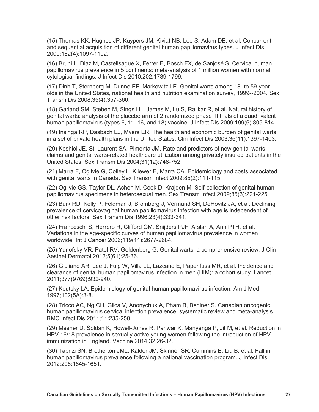(15) Thomas KK, Hughes JP, Kuypers JM, Kiviat NB, Lee S, Adam DE, et al. Concurrent and sequential acquisition of different genital human papillomavirus types. J Infect Dis 2000;182(4):1097-1102.

(16) Bruni L, Diaz M, Castellsagué X, Ferrer E, Bosch FX, de Sanjosé S. Cervical human papillomavirus prevalence in 5 continents: meta-analysis of 1 million women with normal cytological findings. J Infect Dis 2010;202:1789-1799.

(17) Dinh T, Sternberg M, Dunne EF, Markowitz LE. Genital warts among 18- to 59-yearolds in the United States, national health and nutrition examination survey, 1999--2004. Sex Transm Dis 2008;35(4):357-360.

(18) Garland SM, Steben M, Sings HL, James M, Lu S, Railkar R, et al. Natural history of genital warts: analysis of the placebo arm of 2 randomized phase III trials of a quadrivalent human papillomavirus (types 6, 11, 16, and 18) vaccine. J Infect Dis 2009;199(6):805-814.

(19) Insinga RP, Dasbach EJ, Myers ER. The health and economic burden of genital warts in a set of private health plans in the United States. Clin Infect Dis 2003;36(11):1397-1403.

(20) Koshiol JE, St. Laurent SA, Pimenta JM. Rate and predictors of new genital warts claims and genital warts-related healthcare utilization among privately insured patients in the United States. Sex Transm Dis 2004;31(12):748-752.

(21) Marra F, Ogilvie G, Colley L, Kliewer E, Marra CA. Epidemiology and costs associated with genital warts in Canada. Sex Transm Infect 2009;85(2):111-115.

(22) Ogilvie GS, Taylor DL, Achen M, Cook D, Krajden M. Self-collection of genital human papillomavirus specimens in heterosexual men. Sex Transm Infect 2009;85(3):221-225.

(23) Burk RD, Kelly P, Feldman J, Bromberg J, Vermund SH, DeHovitz JA, et al. Declining prevalence of cervicovaginal human papillomavirus infection with age is independent of other risk factors. Sex Transm Dis 1996;23(4):333-341.

(24) Franceschi S, Herrero R, Clifford GM, Snijders PJF, Arslan A, Anh PTH, et al. Variations in the age-specific curves of human papillomavirus prevalence in women worldwide. Int J Cancer 2006;119(11):2677-2684.

(25) Yanofsky VR, Patel RV, Goldenberg G. Genital warts: a comprehensive review. J Clin Aesthet Dermatol 2012;5(61):25-36.

(26) Giuliano AR, Lee J, Fulp W, Villa LL, Lazcano E, Papenfuss MR, et al. Incidence and clearance of genital human papillomavirus infection in men (HIM): a cohort study. Lancet 2011;377(9769):932-940.

(27) Koutsky LA. Epidemiology of genital human papillomavirus infection. Am J Med 1997;102(5A):3-8.

(28) Tricco AC, Ng CH, Gilca V, Anonychuk A, Pham B, Berliner S. Canadian oncogenic human papillomavirus cervical infection prevalence: systematic review and meta-analysis. BMC Infect Dis 2011;11:235-250.

(29) Mesher D, Soldan K, Howell-Jones R, Panwar K, Manyenga P, Jit M, et al. Reduction in HPV 16/18 prevalence in sexually active young women following the introduction of HPV immunization in England. Vaccine 2014;32:26-32.

(30) Tabrizi SN, Brotherton JML, Kaldor JM, Skinner SR, Cummins E, Liu B, et al. Fall in human papillomavirus prevalence following a national vaccination program. J Infect Dis 2012;206:1645-1651.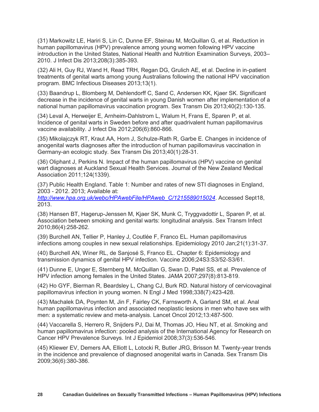(31) Markowitz LE, Hariri S, Lin C, Dunne EF, Steinau M, McQuillan G, et al. Reduction in human papillomavirus (HPV) prevalence among young women following HPV vaccine introduction in the United States, National Health and Nutrition Examination Surveys, 2003– 2010. J Infect Dis 2013;208(3):385-393.

(32) Ali H, Guy RJ, Wand H, Read TRH, Regan DG, Grulich AE, et al. Decline in in-patient treatments of genital warts among young Australians following the national HPV vaccination program. BMC Infectious Diseases 2013;13(1).

(33) Baandrup L, Blomberg M, Dehlendorff C, Sand C, Andersen KK, Kjaer SK. Significant decrease in the incidence of genital warts in young Danish women after implementation of a national human papillomavirus vaccination program. Sex Transm Dis 2013;40(2):130-135.

(34) Leval A, Herweijer E, Arnheim-Dahlstrom L, Walum H, Frans E, Sparen P, et al. Incidence of genital warts in Sweden before and after quadrivalent human papillomavirus vaccine availability. J Infect Dis 2012;206(6):860-866.

(35) Mikolajczyk RT, Kraut AA, Horn J, Schulze-Rath R, Garbe E. Changes in incidence of anogenital warts diagnoses after the introduction of human papillomavirus vaccination in Germany-an ecologic study. Sex Transm Dis 2013;40(1):28-31.

(36) Oliphant J, Perkins N. Impact of the human papillomavirus (HPV) vaccine on genital wart diagnoses at Auckland Sexual Health Services. Journal of the New Zealand Medical Association 2011;124(1339).

(37) Public Health England. Table 1: Number and rates of new STI diagnoses in England, 2003 - 2012. 2013; Available at:

*[http://www.hpa.org.uk/webc/HPAwebFile/HPAweb\\_C/1215589015024](http://www.hpa.org.uk/webc/HPAwebFile/HPAweb_C/1215589015024)*. Accessed Sept18, 2013.

(38) Hansen BT, Hagerup-Jenssen M, Kjaer SK, Munk C, Tryggvadottir L, Sparen P, et al. Association between smoking and genital warts: longitudinal analysis. Sex Transm Infect 2010;86(4):258-262.

(39) Burchell AN, Tellier P, Hanley J, Coutlée F, Franco EL. Human papillomavirus infections among couples in new sexual relationships. Epidemiology 2010 Jan;21(1):31-37.

(40) Burchell AN, Winer RL, de Sanjosé S, Franco EL. Chapter 6: Epidemiology and transmission dynamics of genital HPV infection. Vaccine 2006;24S3:S3/52-S3/61.

(41) Dunne E, Unger E, Sternberg M, McQuillan G, Swan D, Patel SS, et al. Prevalence of HPV infection among females in the United States. JAMA 2007;297(8):813-819.

(42) Ho GYF, Bierman R, Beardsley L, Chang CJ, Burk RD. Natural history of cervicovaginal papillomavirus infection in young women. N Engl J Med 1998;338(7):423-428.

(43) Machalek DA, Poynten M, Jin F, Fairley CK, Farnsworth A, Garland SM, et al. Anal human papillomavirus infection and associated neoplastic lesions in men who have sex with men: a systematic review and meta-analysis. Lancet Oncol 2012;13:487-500.

(44) Vaccarella S, Herrero R, Snijders PJ, Dai M, Thomas JO, Hieu NT, et al. Smoking and human papillomavirus infection: pooled analysis of the International Agency for Research on Cancer HPV Prevalence Surveys. Int J Epidemiol 2008;37(3):536-546.

(45) Kliewer EV, Demers AA, Elliott L, Lotocki R, Butler JRG, Brisson M. Twenty-year trends in the incidence and prevalence of diagnosed anogenital warts in Canada. Sex Transm Dis 2009;36(6):380-386.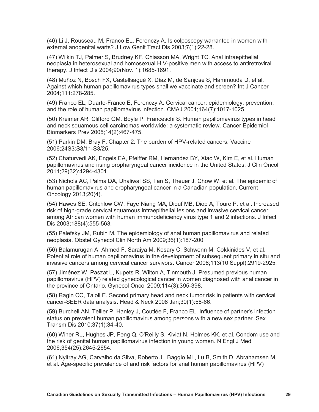(46) Li J, Rousseau M, Franco EL, Ferenczy A. Is colposcopy warranted in women with external anogenital warts? J Low Genit Tract Dis 2003;7(1):22-28.

(47) Wilkin TJ, Palmer S, Brudney KF, Chiasson MA, Wright TC. Anal intraepithelial neoplasia in heterosexual and homosexual HIV-positive men with access to antiretroviral therapy. J Infect Dis 2004;90(Nov. 1):1685-1691.

(48) Muñoz N, Bosch FX, Castellsagué X, Díaz M, de Sanjose S, Hammouda D, et al. Against which human papillomavirus types shall we vaccinate and screen? Int J Cancer 2004;111:278-285.

(49) Franco EL, Duarte-Franco E, Ferenczy A. Cervical cancer: epidemiology, prevention, and the role of human papillomavirus infection. CMAJ 2001;164(7):1017-1025.

(50) Kreimer AR, Clifford GM, Boyle P, Franceschi S. Human papillomavirus types in head and neck squamous cell carcinomas worldwide: a systematic review. Cancer Epidemiol Biomarkers Prev 2005;14(2):467-475.

(51) Parkin DM, Bray F. Chapter 2: The burden of HPV-related cancers. Vaccine 2006;24S3:S3/11-S3/25.

(52) Chaturvedi AK, Engels EA, Pfeiffer RM, Hernandez BY, Xiao W, Kim E, et al. Human papillomavirus and rising oropharyngeal cancer incidence in the United States. J Clin Oncol 2011;29(32):4294-4301.

(53) Nichols AC, Palma DA, Dhaliwal SS, Tan S, Theuer J, Chow W, et al. The epidemic of human papillomavirus and oropharyngeal cancer in a Canadian population. Current Oncology 2013;20(4).

(54) Hawes SE, Critchlow CW, Faye Niang MA, Diouf MB, Diop A, Toure P, et al. Increased risk of high-grade cervical squamous intraepithelial lesions and invasive cervical cancer among African women with human immunodeficiency virus type 1 and 2 infections. J Infect Dis 2003;188(4):555-563.

(55) Palefsky JM, Rubin M. The epidemiology of anal human papillomavirus and related neoplasia. Obstet Gynecol Clin North Am 2009;36(1):187-200.

(56) Balamurugan A, Ahmed F, Saraiya M, Kosary C, Schwenn M, Cokkinides V, et al. Potential role of human papillomavirus in the development of subsequent primary in situ and invasive cancers among cervical cancer survivors. Cancer 2008;113(10 Suppl):2919-2925.

(57) Jiménez W, Paszat L, Kupets R, Wilton A, Tinmouth J. Presumed previous human papillomavirus (HPV) related gynecological cancer in women diagnosed with anal cancer in the province of Ontario. Gynecol Oncol 2009;114(3):395-398.

(58) Ragin CC, Taioli E. Second primary head and neck tumor risk in patients with cervical cancer-SEER data analysis. Head & Neck 2008 Jan;30(1):58-66.

(59) Burchell AN, Tellier P, Hanley J, Coutlée F, Franco EL. Influence of partner's infection status on prevalent human papillomavirus among persons with a new sex partner. Sex Transm Dis 2010;37(1):34-40.

(60) Winer RL, Hughes JP, Feng Q, O'Reilly S, Kiviat N, Holmes KK, et al. Condom use and the risk of genital human papillomavirus infection in young women. N Engl J Med 2006;354(25):2645-2654.

(61) Nyitray AG, Carvalho da Silva, Roberto J., Baggio ML, Lu B, Smith D, Abrahamsen M, et al. Age-specific prevalence of and risk factors for anal human papillomavirus (HPV)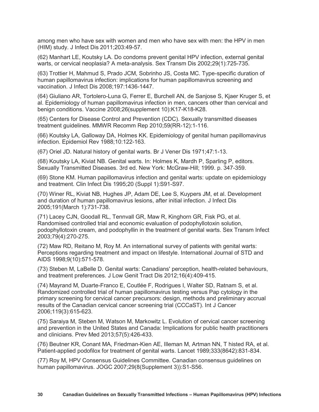among men who have sex with women and men who have sex with men: the HPV in men (HIM) study. J Infect Dis 2011;203:49-57.

(62) Manhart LE, Koutsky LA. Do condoms prevent genital HPV infection, external genital warts, or cervical neoplasia? A meta-analysis. Sex Transm Dis 2002;29(1):725-735.

(63) Trottier H, Mahmud S, Prado JCM, Sobrinho JS, Costa MC. Type-specific duration of human papillomavirus infection: implications for human papillomavirus screening and vaccination. J Infect Dis 2008;197:1436-1447.

(64) Giuliano AR, Tortolero-Luna G, Ferrer E, Burchell AN, de Sanjose S, Kjaer Kruger S, et al. Epidemiology of human papillomavirus infection in men, cancers other than cervical and benign conditions. Vaccine 2008;26(supplement 10):K17-K18-K28.

(65) Centers for Disease Control and Prevention (CDC). Sexually transmitted diseases treatment guidelines. MMWR Recomm Rep 2010;59(RR-12):1-116.

(66) Koutsky LA, Galloway DA, Holmes KK. Epidemiology of genital human papillomavirus infection. Epidemiol Rev 1988;10:122-163.

(67) Oriel JD. Natural history of genital warts. Br J Vener Dis 1971;47:1-13.

(68) Koutsky LA, Kiviat NB. Genital warts. In: Holmes K, Mardh P, Sparling P, editors. Sexually Transmitted Diseases. 3rd ed. New York: McGraw-Hill; 1999. p. 347-359.

(69) Stone KM. Human papillomavirus infection and genital warts: update on epidemiology and treatment. Clin Infect Dis 1995;20 (Suppl 1):S91-S97.

(70) Winer RL, Kiviat NB, Hughes JP, Adam DE, Lee S, Kuypers JM, et al. Development and duration of human papillomavirus lesions, after initial infection. J Infect Dis 2005;191(March 1):731-738.

(71) Lacey CJN, Goodall RL, Tennvall GR, Maw R, Kinghorn GR, Fisk PG, et al. Randomised controlled trial and economic evaluation of podophyllotoxin solution, podophyllotoxin cream, and podophyllin in the treatment of genital warts. Sex Transm Infect 2003;79(4):270-275.

(72) Maw RD, Reitano M, Roy M. An international survey of patients with genital warts: Perceptions regarding treatment and impact on lifestyle. International Journal of STD and AIDS 1998;9(10):571-578.

(73) Steben M, LaBelle D. Genital warts: Canadians' perception, health-related behaviours, and treatment preferences. J Low Genit Tract Dis 2012;16(4):409-415.

(74) Mayrand M, Duarte-Franco E, Coutlée F, Rodrigues I, Walter SD, Ratnam S, et al. Randomized controlled trial of human papillomavirus testing versus Pap cytology in the primary screening for cervical cancer precursors: design, methods and preliminary accrual results of the Canadian cervical cancer screening trial (CCCaST). Int J Cancer 2006;119(3):615-623.

(75) Saraiya M, Steben M, Watson M, Markowitz L. Evolution of cervical cancer screening and prevention in the United States and Canada: Implications for public health practitioners and clinicians. Prev Med 2013;57(5):426-433.

(76) Beutner KR, Conant MA, Friedman-Kien AE, Illeman M, Artman NN, T histed RA, et al. Patient-applied podofilox for treatment of genital warts. Lancet 1989;333(8642):831-834.

(77) Roy M, HPV Consensus Guidelines Committee. Canadian consensus guidelines on human papillomavirus. JOGC 2007;29(8(Supplement 3)):S1-S56.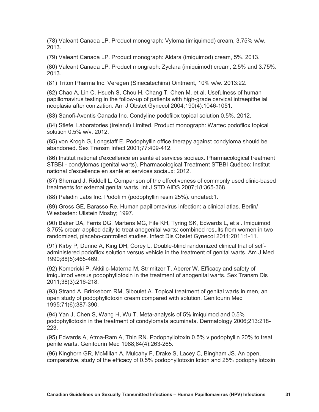(78) Valeant Canada LP. Product monograph: Vyloma (imiquimod) cream, 3.75% w/w. 2013.

(79) Valeant Canada LP. Product monograph: Aldara (imiquimod) cream, 5%. 2013.

(80) Valeant Canada LP. Product mongraph: Zyclara (imiquimod) cream, 2.5% and 3.75%. 2013.

(81) Triton Pharma Inc. Veregen (Sinecatechins) Ointment, 10% w/w. 2013:22.

(82) Chao A, Lin C, Hsueh S, Chou H, Chang T, Chen M, et al. Usefulness of human papillomavirus testing in the follow-up of patients with high-grade cervical intraepithelial neoplasia after conization. Am J Obstet Gynecol 2004;190(4):1046-1051.

(83) Sanofi-Aventis Canada Inc. Condyline podofilox topical solution 0.5%. 2012.

(84) Stiefel Laboratories (Ireland) Limited. Product monograph: Wartec podofilox topical solution 0.5% w/v. 2012.

(85) von Krogh G, Longstaff E. Podophyllin office therapy against condyloma should be abandoned. Sex Transm Infect 2001;77:409-412.

(86) Institut national d'excellence en santé et services sociaux. Pharmacological treatment STBBI - condylomas (genital warts). Pharmacological Treatment STBBI Québec: Institut national d'excellence en santé et services sociaux; 2012.

(87) Sherrard J, Riddell L. Comparison of the effectiveness of commonly used clinic-based treatments for external genital warts. Int J STD AIDS 2007;18:365-368.

(88) Paladin Labs Inc. Podofilm (podophyllin resin 25%). undated:1.

(89) Gross GE, Barasso Re. Human papillomavirus infection: a clinical atlas. Berlin/ Wiesbaden: Ullstein Mosby; 1997.

(90) Baker DA, Ferris DG, Martens MG, Fife KH, Tyring SK, Edwards L, et al. Imiquimod 3.75% cream applied daily to treat anogenital warts: combined results from women in two randomized, placebo-controlled studies. Infect Dis Obstet Gynecol 2011;2011:1-11.

(91) Kirby P, Dunne A, King DH, Corey L. Double-blind randomized clinical trial of selfadministered podofilox solution versus vehicle in the treatment of genital warts. Am J Med 1990;88(5):465-469.

(92) Komericki P, Akkilic-Materna M, Strimitzer T, Aberer W. Efficacy and safety of imiquimod versus podophyllotoxin in the treatment of anogenital warts. Sex Transm Dis 2011;38(3):216-218.

(93) Strand A, Brinkeborn RM, Siboulet A. Topical treatment of genital warts in men, an open study of podophyllotoxin cream compared with solution. Genitourin Med 1995;71(6):387-390.

(94) Yan J, Chen S, Wang H, Wu T. Meta-analysis of 5% imiquimod and 0.5% podophyllotoxin in the treatment of condylomata acuminata. Dermatology 2006;213:218- 223.

(95) Edwards A, Atma-Ram A, Thin RN. Podophyllotoxin 0.5% v podophyllin 20% to treat penile warts. Genitourin Med 1988;64(4):263-265.

(96) Kinghorn GR, McMillan A, Mulcahy F, Drake S, Lacey C, Bingham JS. An open, comparative, study of the efficacy of 0.5% podophyllotoxin lotion and 25% podophyllotoxin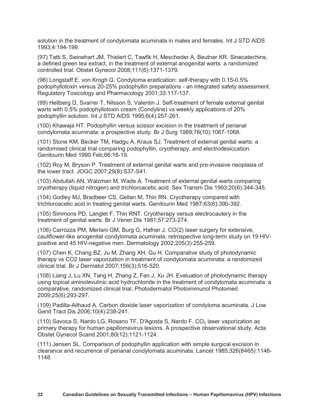solution in the treatment of condylomata acuminata in males and females. Int J STD AIDS 1993;4:194-199.

(97) Tatti S, Swinehart JM, Thielert C, Tawfik H, Mescheder A, Beutner KR. Sinecatechins, a defined green tea extract, in the treatment of external anogenital warts: a randomized controlled trial. Obstet Gynecol 2008;111(6):1371-1379.

(98) Longstaff E, von Krogh G. Condyloma eradication: self-therapy with 0.15-0.5% podophyllotoxin versus 20-25% podophyllin preparations - an integrated safety assessment. Regulatory Toxicology and Pharmacology 2001;33:117-137.

(99) Hellberg D, Svarrer T, Nilsson S, Valentin J. Self-treatment of female external genital warts with 0.5% podophyllotoxin cream (Condyline) vs weekly applications of 20% podophyllin solution. Int J STD AIDS 1995;6(4):257-261.

(100) Khawaja HT. Podophyllin versus scissor excision in the treatment of perianal condylomata acuminata: a prospective study. Br J Surg 1989;76(10):1067-1068.

(101) Stone KM, Becker TM, Hadgu A, Kraus SJ. Treatment of external genital warts: a randomised clinical trial comparing podophyllin, cryotherapy, and electrodesiccation. Genitourin Med 1990 Feb;66:16-19.

(102) Roy M, Bryson P. Treatment of external genital warts and pre-invasive neoplasia of the lower tract. JOGC 2007;29(8):S37-S41.

(103) Abdullah AN, Walzman M, Wade A. Treatment of external genital warts comparing cryotherapy (liquid nitrogen) and trichloroacetic acid. Sex Transm Dis 1993;20(6):344-345.

(104) Godley MJ, Bradbeer CS, Gellan M, Thin RN. Cryotherapy compared with trichloroacetic acid in treating genital warts. Genitourin Med 1987;63(6):390-392.

(105) Simmons PD, Langlet F, Thin RNT. Cryotherapy versus electrocautery in the treatment of genital warts. Br J Vener Dis 1981;57:273-274.

(106) Carrozza PM, Merlani GM, Burg G, Hafner J. CO(2) laser surgery for extensive, cauliflower-like anogenital condylomata acuminata: retrospective long-term study on 19 HIVpositive and 45 HIV-negative men. Dermatology 2002;205(3):255-259.

(107) Chen K, Chang BZ, Ju M, Zhang XH, Gu H. Comparative study of photodynamic therapy vs CO2 laser vaporization in treatment of condylomata acuminata: a randomized clinical trial. Br J Dermatol 2007;156(3):516-520.

(108) Liang J, Lu XN, Tang H, Zhang Z, Fan J, Xu JH. Evaluation of photodynamic therapy using topical aminolevulinic acid hydrochloride in the treatment of condylomata acuminata: a comparative, randomized clinical trial. Photodermatol Photoimmunol Photomed 2009;25(6):293-297.

(109) Padilla-Ailhaud A. Carbon dioxide laser vaporization of condyloma acuminata. J Low Genit Tract Dis 2006;10(4):238-241.

(110) Savoca S, Nardo LG, Rosano TF, D'Agosta S, Nardo F. CO<sub>2</sub> laser vaporization as primary therapy for human papillomavirus lesions. A prospective observational study. Acta Obstet Gynecol Scand 2001;80(12):1121-1124.

(111) Jensen SL. Comparison of podophyllin application with simple surgical excision in clearance and recurrence of perianal condylomata acuminata. Lancet 1985;326(8465):1146- 1148.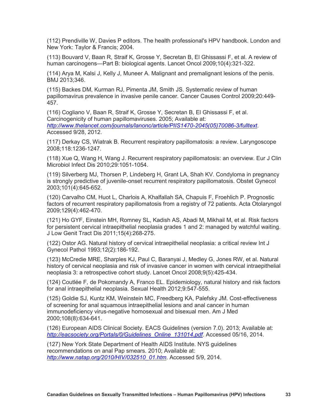(112) Prendiville W, Davies P editors. The health professional's HPV handbook. London and New York: Taylor & Francis; 2004.

(113) Bouvard V, Baan R, Straif K, Grosse Y, Secretan B, El Ghissassi F, et al. A review of human carcinogens—Part B: biological agents. Lancet Oncol 2009;10(4):321-322.

(114) Arya M, Kalsi J, Kelly J, Muneer A. Malignant and premalignant lesions of the penis. BMJ 2013;346.

(115) Backes DM, Kurman RJ, Pimenta JM, Smith JS. Systematic review of human papillomavirus prevalence in invasive penile cancer. Cancer Causes Control 2009;20:449- 457.

(116) Cogliano V, Baan R, Straif K, Grosse Y, Secretan B, El Ghissassi F, et al. Carcinogenicity of human papillomaviruses. 2005; Available at: *[http://www.thelancet.com/journals/lanonc/article/PIIS1470-2045\(05\)70086-3/fulltext](http://www.thelancet.com/journals/lanonc/article/PIIS1470-2045(05)70086-3/fulltext)*. Accessed 9/28, 2012.

(117) Derkay CS, Wiatrak B. Recurrent respiratory papillomatosis: a review. Laryngoscope 2008;118:1236-1247.

(118) Xue Q, Wang H, Wang J. Recurrent respiratory papillomatosis: an overview. Eur J Clin Microbiol Infect Dis 2010;29:1051-1054.

(119) Silverberg MJ, Thorsen P, Lindeberg H, Grant LA, Shah KV. Condyloma in pregnancy is strongly predictive of juvenile-onset recurrent respiratory papillomatosis. Obstet Gynecol 2003;101(4):645-652.

(120) Carvalho CM, Huot L, Charlois A, Khalfallah SA, Chapuis F, Froehlich P. Prognostic factors of recurrent respiratory papillomatosis from a registry of 72 patients. Acta Otolaryngol 2009;129(4):462-470.

(121) Ho GYF, Einstein MH, Romney SL, Kadish AS, Abadi M, Mikhail M, et al. Risk factors for persistent cervical intraepithelial neoplasia grades 1 and 2: managed by watchful waiting. J Low Genit Tract Dis 2011;15(4):268-275.

(122) Ostor AG. Natural history of cervical intraepithelial neoplasia: a critical review Int J Gynecol Pathol 1993;12(2):186-192.

(123) McCredie MRE, Sharples KJ, Paul C, Baranyai J, Medley G, Jones RW, et al. Natural history of cervical neoplasia and risk of invasive cancer in women with cervical intraepithelial neoplasia 3: a retrospective cohort study. Lancet Oncol 2008;9(5):425-434.

(124) Coutlée F, de Pokomandy A, Franco EL. Epidemiology, natural history and risk factors for anal intraepithelial neoplasia. Sexual Health 2012;9:547-555.

(125) Goldie SJ, Kuntz KM, Weinstein MC, Freedberg KA, Palefsky JM. Cost-effectiveness of screening for anal squamous intraepithelial lesions and anal cancer in human immunodeficiency virus-negative homosexual and bisexual men. Am J Med 2000;108(8):634-641.

(126) European AIDS Clinical Society. EACS Guidelines (version 7.0). 2013; Available at: *[http://eacsociety.org/Portals/0/Guidelines\\_Online\\_131014.pdf](http://eacsociety.org/Portals/0/Guidelines_Online_131014.pdf)*. Accessed 05/16, 2014.

(127) New York State Department of Health AIDS Institute. NYS guidelines recommendations on anal Pap smears. 2010; Available at: *[http://www.natap.org/2010/HIV/032510\\_01.htm](http://www.natap.org/2010/HIV/032510_01.htm)*. Accessed 5/9, 2014.